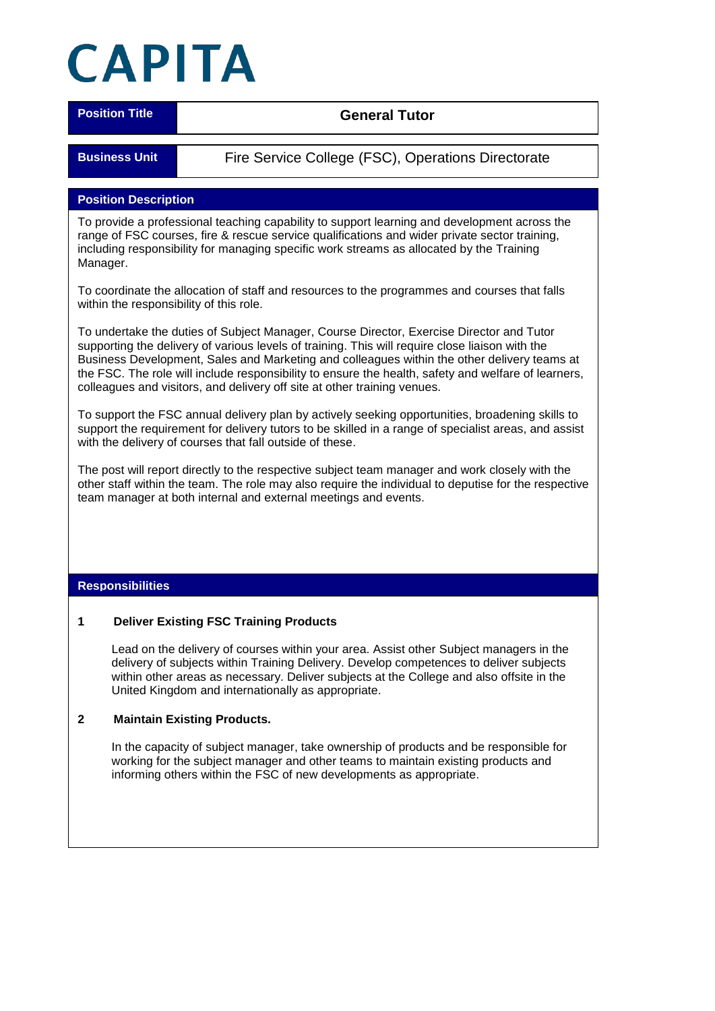# CAPITA

**Position Title CENERAL IDENTIFY CONTROLLER TO A SET OF A LITTLE STATE OF A LITTLE STATE OF A LITTLE STATE OF A LITTLE STATE OF A LITTLE STATE OF A LITTLE STATE OF A LITTLE STATE OF A LITTLE STATE OF A LITTLE STATE OF A** 

**Business Unit** Fire Service College (FSC), Operations Directorate

# **Position Description**

To provide a professional teaching capability to support learning and development across the range of FSC courses, fire & rescue service qualifications and wider private sector training, including responsibility for managing specific work streams as allocated by the Training Manager.

To coordinate the allocation of staff and resources to the programmes and courses that falls within the responsibility of this role.

To undertake the duties of Subject Manager, Course Director, Exercise Director and Tutor supporting the delivery of various levels of training. This will require close liaison with the Business Development, Sales and Marketing and colleagues within the other delivery teams at the FSC. The role will include responsibility to ensure the health, safety and welfare of learners, colleagues and visitors, and delivery off site at other training venues.

To support the FSC annual delivery plan by actively seeking opportunities, broadening skills to support the requirement for delivery tutors to be skilled in a range of specialist areas, and assist with the delivery of courses that fall outside of these.

The post will report directly to the respective subject team manager and work closely with the other staff within the team. The role may also require the individual to deputise for the respective team manager at both internal and external meetings and events.

#### **Responsibilities**

#### **1 Deliver Existing FSC Training Products**

Lead on the delivery of courses within your area. Assist other Subject managers in the delivery of subjects within Training Delivery. Develop competences to deliver subjects within other areas as necessary. Deliver subjects at the College and also offsite in the United Kingdom and internationally as appropriate.

#### **2 Maintain Existing Products.**

In the capacity of subject manager, take ownership of products and be responsible for working for the subject manager and other teams to maintain existing products and informing others within the FSC of new developments as appropriate.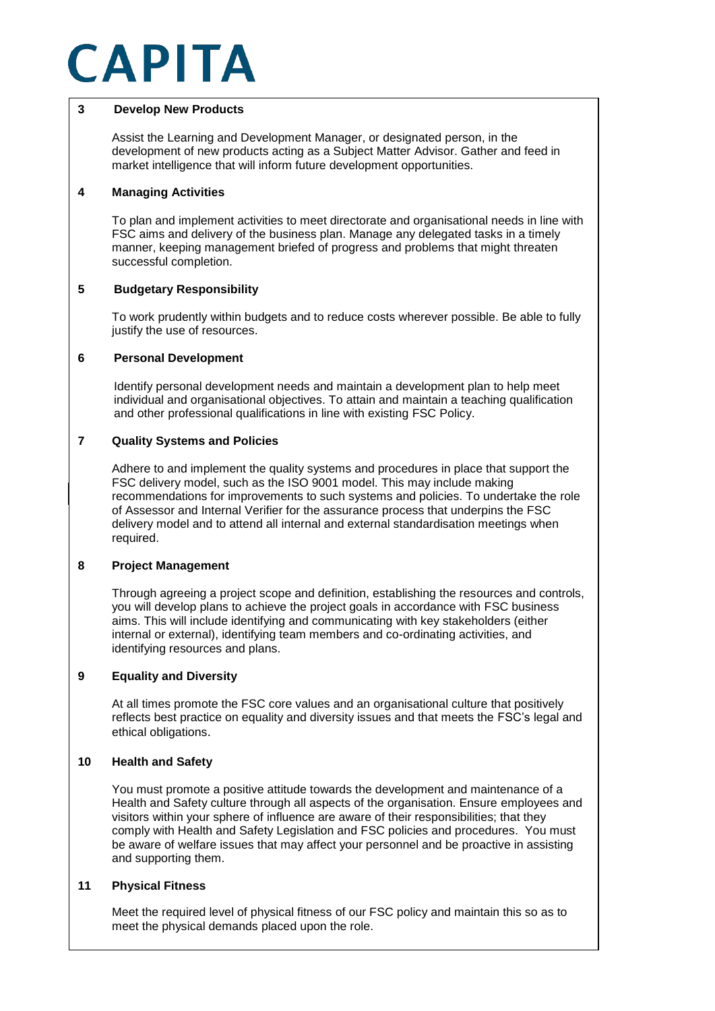# CAPITA

### **3 Develop New Products**

Assist the Learning and Development Manager, or designated person, in the development of new products acting as a Subject Matter Advisor. Gather and feed in market intelligence that will inform future development opportunities.

# **4 Managing Activities**

To plan and implement activities to meet directorate and organisational needs in line with FSC aims and delivery of the business plan. Manage any delegated tasks in a timely manner, keeping management briefed of progress and problems that might threaten successful completion.

# **5 Budgetary Responsibility**

To work prudently within budgets and to reduce costs wherever possible. Be able to fully justify the use of resources.

# **6 Personal Development**

Identify personal development needs and maintain a development plan to help meet individual and organisational objectives. To attain and maintain a teaching qualification and other professional qualifications in line with existing FSC Policy.

# **7 Quality Systems and Policies**

recommendations for improvements to such systems and policies. To undertake the role Adhere to and implement the quality systems and procedures in place that support the FSC delivery model, such as the ISO 9001 model. This may include making of Assessor and Internal Verifier for the assurance process that underpins the FSC delivery model and to attend all internal and external standardisation meetings when required.

# **8 Project Management**

Through agreeing a project scope and definition, establishing the resources and controls, you will develop plans to achieve the project goals in accordance with FSC business aims. This will include identifying and communicating with key stakeholders (either internal or external), identifying team members and co-ordinating activities, and identifying resources and plans.

#### **9 Equality and Diversity**

At all times promote the FSC core values and an organisational culture that positively reflects best practice on equality and diversity issues and that meets the FSC's legal and ethical obligations.

# **10 Health and Safety**

You must promote a positive attitude towards the development and maintenance of a Health and Safety culture through all aspects of the organisation. Ensure employees and visitors within your sphere of influence are aware of their responsibilities; that they comply with Health and Safety Legislation and FSC policies and procedures. You must be aware of welfare issues that may affect your personnel and be proactive in assisting and supporting them.

#### **11 Physical Fitness**

Meet the required level of physical fitness of our FSC policy and maintain this so as to meet the physical demands placed upon the role.